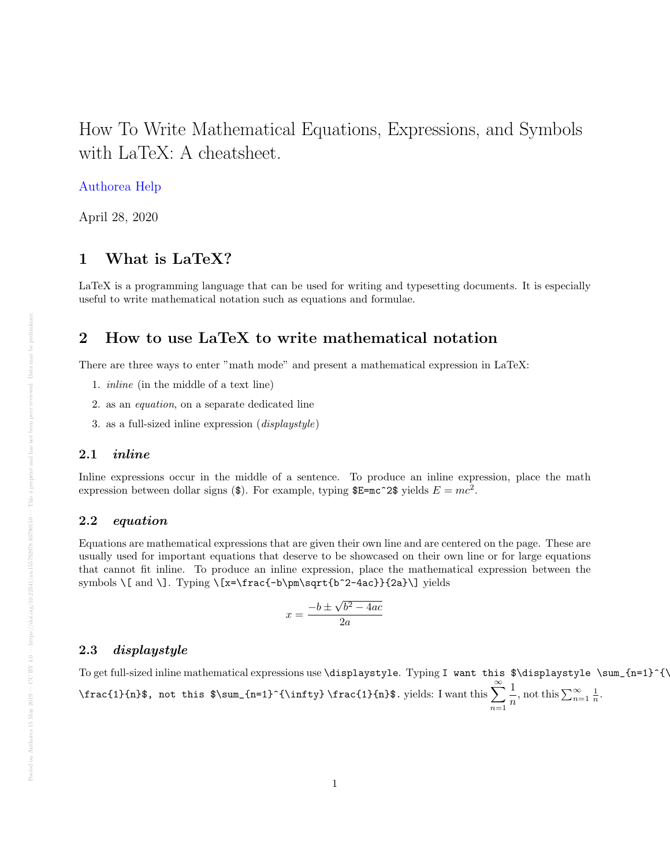# <span id="page-0-0"></span>How To Write Mathematical Equations, Expressions, and Symbols with LaTeX: A cheatsheet.

#### [Authorea Help](https://www.authorea.com/users/77723)

April 28, 2020

### 1 What is LaTeX?

LaTeX is a programming language that can be used for writing and typesetting documents. It is especially useful to write mathematical notation such as equations and formulae.

#### 2 How to use LaTeX to write mathematical notation

There are three ways to enter "math mode" and present a mathematical expression in LaTeX:

- 1. inline (in the middle of a text line)
- 2. as an equation, on a separate dedicated line
- 3. as a full-sized inline expression (displaystyle)

#### 2.1 inline

Inline expressions occur in the middle of a sentence. To produce an inline expression, place the math expression between dollar signs (\$). For example, typing  $E = mc^2$ : yields  $E = mc^2$ .

#### 2.2 equation

Equations are mathematical expressions that are given their own line and are centered on the page. These are usually used for important equations that deserve to be showcased on their own line or for large equations that cannot fit inline. To produce an inline expression, place the mathematical expression between the symbols \[ and \]. Typing \[x=\frac{-b\pm\sqrt{b^2-4ac}}{2a}\] yields

$$
x = \frac{-b \pm \sqrt{b^2 - 4ac}}{2a}
$$

#### 2.3 displaystyle

To get full-sized inline mathematical expressions use \displaystyle. Typing I want this \$\displaystyle \sum\_{n=1}^{\infty} \frac{1}{n}\$, not this \$\sum\_{n=1}^{\infty} \frac{1}{n}\$. yields: I want this  $\sum_{n=1}^{\infty}$  $n=1$ 1  $\frac{1}{n}$ , not this  $\sum_{n=1}^{\infty} \frac{1}{n}$ .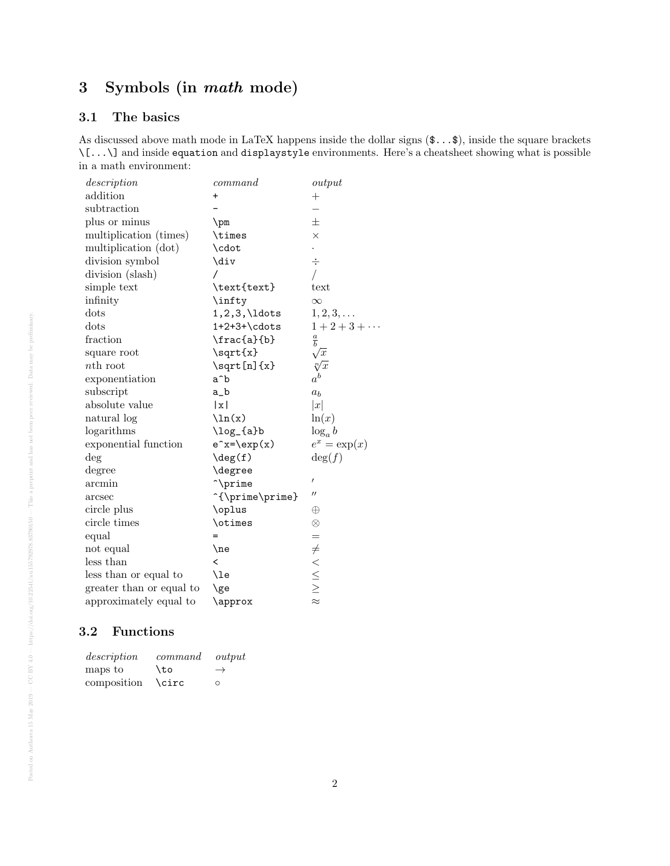## 3 Symbols (in math mode)

#### 3.1 The basics

As discussed above math mode in LaTeX happens inside the dollar signs  $(\mathbf{\$...}\mathbf{\$})$ , inside the square brackets \[...\] and inside equation and displaystyle environments. Here's a cheatsheet showing what is possible in a math environment:

| description              | command                  | output                                                            |
|--------------------------|--------------------------|-------------------------------------------------------------------|
| addition                 | $\ddot{}$                | $^{+}$                                                            |
| subtraction              |                          |                                                                   |
| plus or minus            | $\pm$                    | 士                                                                 |
| multiplication (times)   | \times                   | $\times$                                                          |
| multiplication (dot)     | \cdot                    |                                                                   |
| division symbol          | \div                     | ÷                                                                 |
| division (slash)         |                          |                                                                   |
| simple text              | \text{text}              | text                                                              |
| infinity                 | \infty                   | $\infty$                                                          |
| dots                     | $1, 2, 3, \ldots$        | $1,2,3,\ldots$                                                    |
| dots                     | $1+2+3+\cdots$           | $1 + 2 + 3 + \cdots$                                              |
| fraction                 | \frac{a}{b}              | $\frac{a}{b}$                                                     |
| square root              | $\sqrt{\sqrt{x}}$        | $\sqrt{x}$                                                        |
| nth root                 | $\sqrt{\sqrt{x}}$        | $\sqrt[n]{x}$                                                     |
| exponentiation           | $a^{\hat{}}b$            | $\boldsymbol{a}^{\boldsymbol{b}}$                                 |
| subscript                | a_b                      | a <sub>b</sub>                                                    |
| absolute value           | x                        | x                                                                 |
| natural log              | $\ln(x)$                 | ln(x)                                                             |
| logarithms               | \log_{a}b                | $\log_a b$                                                        |
| exponential function     | $e^x = \exp(x)$          | $e^x = \exp(x)$                                                   |
| $\deg$                   | $\deg(f)$                | $\deg(f)$                                                         |
| degree                   | <b>\degree</b>           |                                                                   |
| arcmin                   | ~\prime                  | $\prime$                                                          |
| arcsec                   | ^{\prime\prime}          | $\mathcal{L}^{\prime}$                                            |
| circle plus              | \oplus                   | $\oplus$                                                          |
| circle times             | \otimes                  | $\otimes$                                                         |
| equal                    |                          | $=$                                                               |
| not equal                | $\lambda$                | $\neq$                                                            |
| less than                | $\overline{\phantom{0}}$ |                                                                   |
| less than or equal to    | \le                      |                                                                   |
| greater than or equal to | \ge                      | $\begin{array}{c}\n\times \\ \times\n\times\n\times\n\end{array}$ |
| approximately equal to   | \approx                  |                                                                   |

#### 3.2 Functions

| description | command | output        |
|-------------|---------|---------------|
| maps to     | \to     | $\rightarrow$ |
| composition | \circ   | $\Omega$      |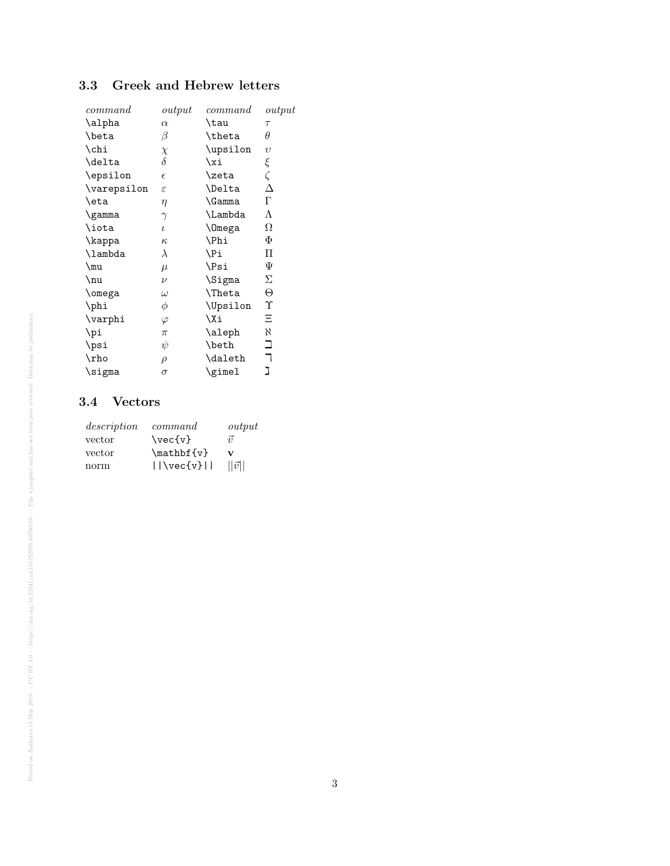### 3.3 Greek and Hebrew letters

| output     | command       | output     |
|------------|---------------|------------|
| $\alpha$   | \tau          | $\tau$     |
| β          | \theta        | $\theta$   |
| $\chi$     | \upsilon      | $\upsilon$ |
| $\delta$   | \xi           |            |
| $\epsilon$ | \zeta         | $\xi$      |
| ε          | <b>\Delta</b> | Δ          |
| $\eta$     | \Gamma        | $\Gamma$   |
| $\gamma$   | \Lambda       | Λ          |
| $\iota$    | <b>\Omega</b> | Ω          |
| $\kappa$   | <b>\Phi</b>   | Φ          |
| $\lambda$  | \Pi           | П          |
| $\mu$      | \Psi          | Ψ          |
| $\nu$      | \Sigma        | Σ          |
| $\omega$   | \Theta        | Θ          |
| φ          | \Upsilon      | Υ          |
| $\varphi$  | \Xi           | Ξ          |
| $\pi$      | \aleph        | Κ.         |
| ψ          | \beth         | コ          |
| $\rho$     | \daleth       | ┑          |
| $\sigma$   | \gimel        | ב          |
|            |               |            |

#### 3.4 Vectors

| description | command                       | output        |
|-------------|-------------------------------|---------------|
| vector      | $\text{vec}\{v\}$             | $\vec{v}$     |
| vector      | $\mathcal{W}$                 | v             |
| norm        | $    \vee \vee \vee \vee    $ | $  \vec{v}  $ |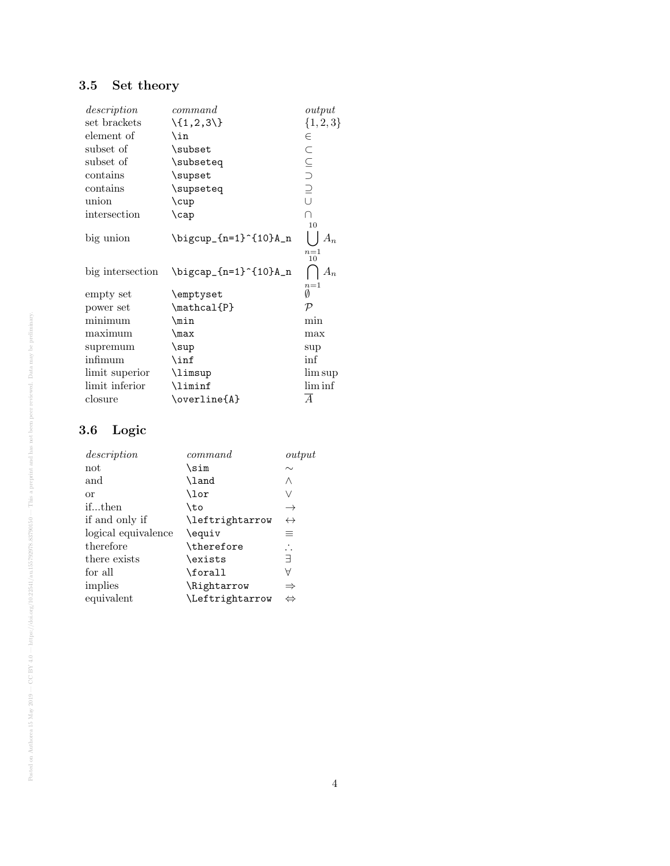# 3.5 Set theory

| description      | command                            | output         |
|------------------|------------------------------------|----------------|
| set brackets     | $\setminus \{1, 2, 3\}$            | ${1, 2, 3}$    |
| element of       | \in                                | $\in$          |
| subset of        | \subset                            | $\subset$      |
| subset of        | \subseteq                          |                |
| contains         | \supset                            | $\subseteq$    |
| $\rm contains$   | \supseteq                          |                |
| union            | $\cup$                             | $\cup$         |
| intersection     | $\cap$                             | $\cap$         |
|                  |                                    | 10             |
| big union        | \bigcup_{n=1}^{10}A_n              |                |
|                  |                                    | $n=1$<br>10    |
| big intersection | $\big\rightarrow -\{n=1\}^{10}A_n$ | $A_n$          |
| empty set        | \emptyset                          | $n=1$<br>Ø     |
| power set        | $\mathcal{P}$                      | $\mathcal{P}$  |
| minimum          | $\min$                             | min            |
| maximum          | $\max$                             | max            |
| supremum         | $\sup$                             | sup            |
| infimum          | $\inf$                             | $\inf$         |
| limit superior   | \limsup                            | lim sup        |
| limit inferior   | \liminf                            | $\liminf$      |
| closure          | \overline{A}                       | $\overline{A}$ |

## 3.6 Logic

| description         | command         | output            |
|---------------------|-----------------|-------------------|
| not                 | \sim            | $\sim$            |
| and                 | \land           | Λ                 |
| or                  | \lor            | V                 |
| ifthen              | \to             | $\rightarrow$     |
| if and only if      | \leftrightarrow | $\leftrightarrow$ |
| logical equivalence | \equiv          | 亖                 |
| therefore           | \therefore      | $\ddot{\cdot}$    |
| there exists        | \exists         | Ε                 |
| for all             | \forall         | Α                 |
| implies             | \Rightarrow     | $\Rightarrow$     |
| equivalent          | \Leftrightarrow | $\Leftrightarrow$ |
|                     |                 |                   |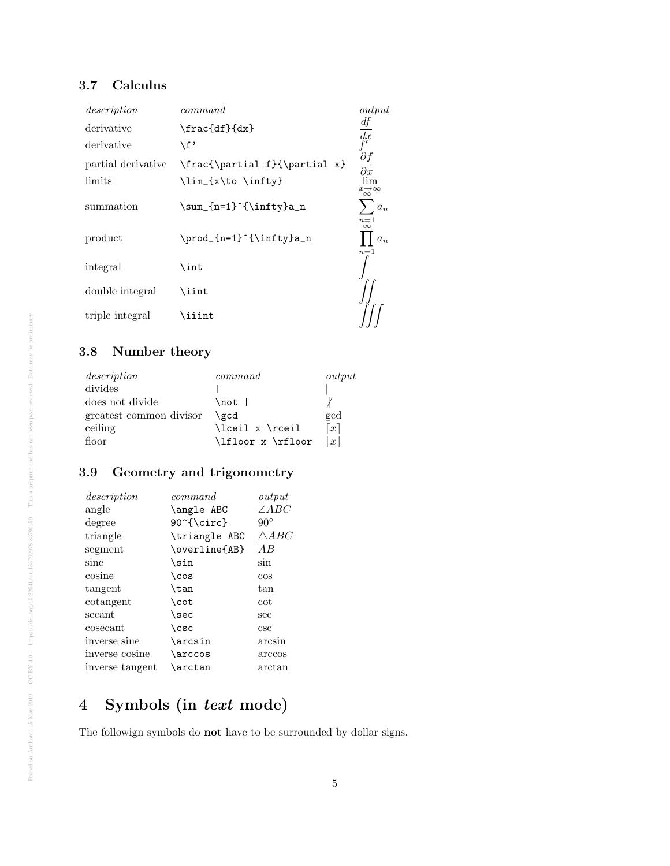### 3.7 Calculus

| description        | command                       | output                              |
|--------------------|-------------------------------|-------------------------------------|
| derivative         | \frac{df}{dx}                 | df                                  |
| derivative         | \f'                           | $\frac{dx}{f}$                      |
| partial derivative | \frac{\partial f}{\partial x} | $\frac{\partial f}{\partial x}$     |
| limits             | \lim_{x\to \infty}            | lim<br>$x\rightarrow\infty$         |
| summation          | \sum_{n=1}^{\infty}a_n        | $\infty$<br>$a_n$                   |
| product            | \prod_{n=1}^{\infty}a_n       | $n=1$<br>$\infty$<br>$a_n$<br>$n=1$ |
| integral           | \int                          |                                     |
| double integral    | \iint                         |                                     |
| triple integral    | <b>\iiint</b>                 |                                     |

## 3.8 Number theory

| description             | command           | output            |
|-------------------------|-------------------|-------------------|
| divides                 |                   |                   |
| does not divide         | \not l            |                   |
| greatest common divisor | \gcd              | gcd               |
| ceiling                 | \lceil x \rceil   | $\lceil x \rceil$ |
| floor                   | \lfloor x \rfloor | x                 |

### 3.9 Geometry and trigonometry

| description     | command       | output          |
|-----------------|---------------|-----------------|
| angle           | \angle ABC    | $\angle ABC$    |
| degree          | 90^{\circ}    | $90^{\circ}$    |
| triangle        | \triangle ABC | $\triangle ABC$ |
| segment         | \overline{AB} | $\overline{AB}$ |
| sine            | \sin          | sin             |
| cosine          | $\cos$        | $\cos$          |
| tangent         | \tan          | tan             |
| cotangent       | \cot          | cot             |
| secant          | $\searrow$    | sec             |
| cosecant        | $\csc$        | csc             |
| inverse sine    | \arcsin       | arcsin          |
| inverse cosine  | \arccos       | arccos          |
| inverse tangent | \arctan       | arctan          |

# 4 Symbols (in text mode)

The followign symbols do not have to be surrounded by dollar signs.